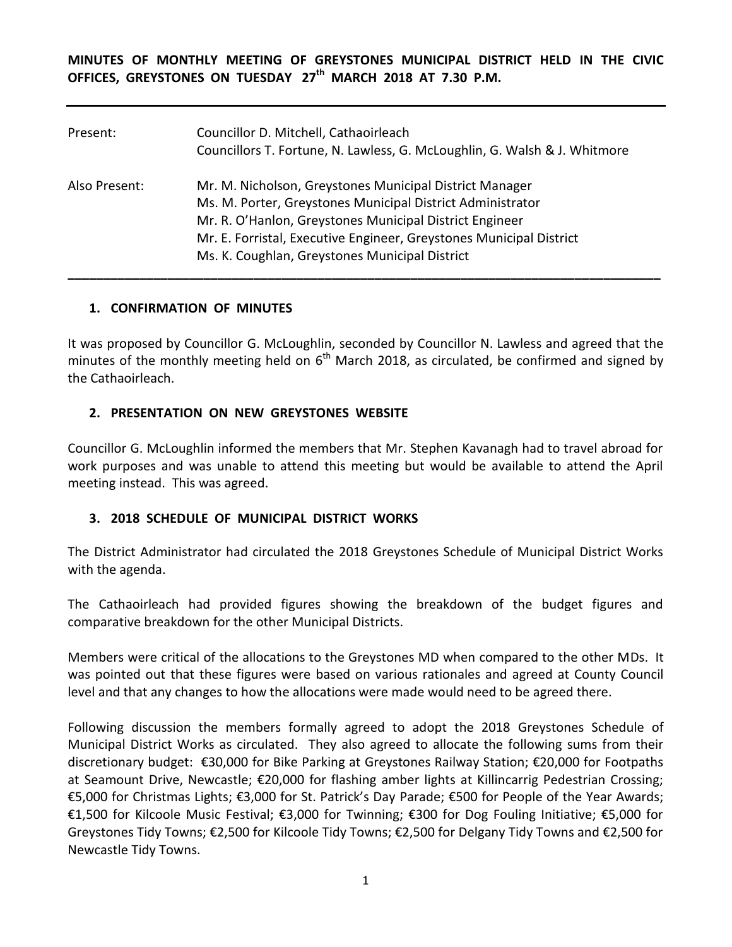**MINUTES OF MONTHLY MEETING OF GREYSTONES MUNICIPAL DISTRICT HELD IN THE CIVIC OFFICES, GREYSTONES ON TUESDAY 27th MARCH 2018 AT 7.30 P.M.** 

| Present:      | Councillor D. Mitchell, Cathaoirleach<br>Councillors T. Fortune, N. Lawless, G. McLoughlin, G. Walsh & J. Whitmore                                                                                                                                                                                        |
|---------------|-----------------------------------------------------------------------------------------------------------------------------------------------------------------------------------------------------------------------------------------------------------------------------------------------------------|
| Also Present: | Mr. M. Nicholson, Greystones Municipal District Manager<br>Ms. M. Porter, Greystones Municipal District Administrator<br>Mr. R. O'Hanlon, Greystones Municipal District Engineer<br>Mr. E. Forristal, Executive Engineer, Greystones Municipal District<br>Ms. K. Coughlan, Greystones Municipal District |

### **1. CONFIRMATION OF MINUTES**

It was proposed by Councillor G. McLoughlin, seconded by Councillor N. Lawless and agreed that the minutes of the monthly meeting held on  $6^{th}$  March 2018, as circulated, be confirmed and signed by the Cathaoirleach.

### **2. PRESENTATION ON NEW GREYSTONES WEBSITE**

Councillor G. McLoughlin informed the members that Mr. Stephen Kavanagh had to travel abroad for work purposes and was unable to attend this meeting but would be available to attend the April meeting instead. This was agreed.

### **3. 2018 SCHEDULE OF MUNICIPAL DISTRICT WORKS**

The District Administrator had circulated the 2018 Greystones Schedule of Municipal District Works with the agenda.

The Cathaoirleach had provided figures showing the breakdown of the budget figures and comparative breakdown for the other Municipal Districts.

Members were critical of the allocations to the Greystones MD when compared to the other MDs. It was pointed out that these figures were based on various rationales and agreed at County Council level and that any changes to how the allocations were made would need to be agreed there.

Following discussion the members formally agreed to adopt the 2018 Greystones Schedule of Municipal District Works as circulated. They also agreed to allocate the following sums from their discretionary budget: €30,000 for Bike Parking at Greystones Railway Station; €20,000 for Footpaths at Seamount Drive, Newcastle; €20,000 for flashing amber lights at Killincarrig Pedestrian Crossing; €5,000 for Christmas Lights; €3,000 for St. Patrick's Day Parade; €500 for People of the Year Awards; €1,500 for Kilcoole Music Festival; €3,000 for Twinning; €300 for Dog Fouling Initiative; €5,000 for Greystones Tidy Towns; €2,500 for Kilcoole Tidy Towns; €2,500 for Delgany Tidy Towns and €2,500 for Newcastle Tidy Towns.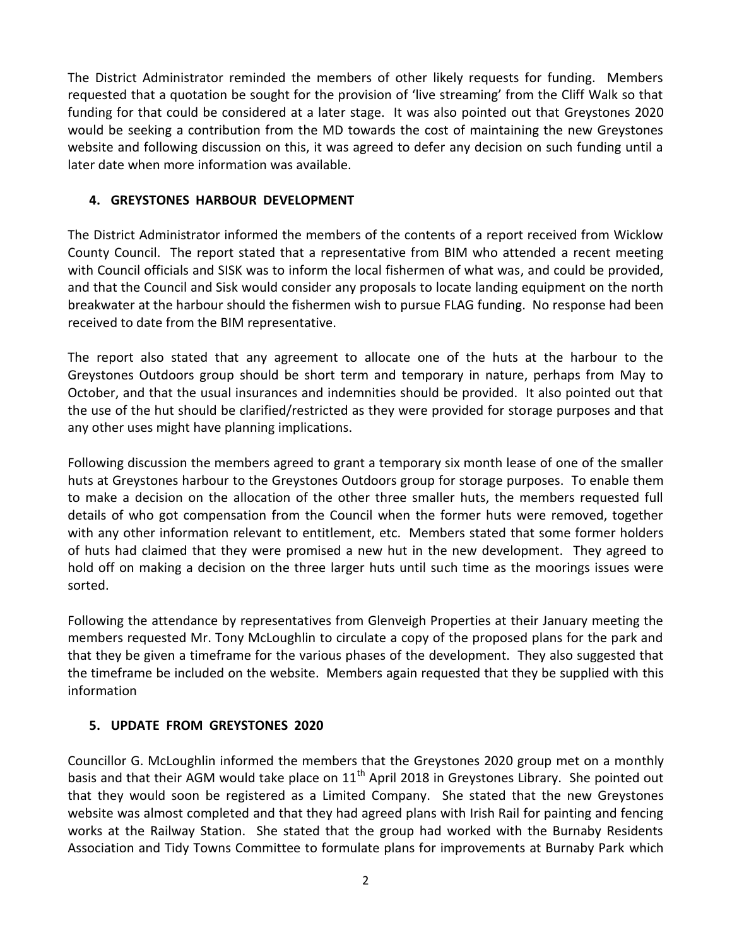The District Administrator reminded the members of other likely requests for funding. Members requested that a quotation be sought for the provision of 'live streaming' from the Cliff Walk so that funding for that could be considered at a later stage. It was also pointed out that Greystones 2020 would be seeking a contribution from the MD towards the cost of maintaining the new Greystones website and following discussion on this, it was agreed to defer any decision on such funding until a later date when more information was available.

### **4. GREYSTONES HARBOUR DEVELOPMENT**

The District Administrator informed the members of the contents of a report received from Wicklow County Council. The report stated that a representative from BIM who attended a recent meeting with Council officials and SISK was to inform the local fishermen of what was, and could be provided, and that the Council and Sisk would consider any proposals to locate landing equipment on the north breakwater at the harbour should the fishermen wish to pursue FLAG funding. No response had been received to date from the BIM representative.

The report also stated that any agreement to allocate one of the huts at the harbour to the Greystones Outdoors group should be short term and temporary in nature, perhaps from May to October, and that the usual insurances and indemnities should be provided. It also pointed out that the use of the hut should be clarified/restricted as they were provided for storage purposes and that any other uses might have planning implications.

Following discussion the members agreed to grant a temporary six month lease of one of the smaller huts at Greystones harbour to the Greystones Outdoors group for storage purposes. To enable them to make a decision on the allocation of the other three smaller huts, the members requested full details of who got compensation from the Council when the former huts were removed, together with any other information relevant to entitlement, etc. Members stated that some former holders of huts had claimed that they were promised a new hut in the new development. They agreed to hold off on making a decision on the three larger huts until such time as the moorings issues were sorted.

Following the attendance by representatives from Glenveigh Properties at their January meeting the members requested Mr. Tony McLoughlin to circulate a copy of the proposed plans for the park and that they be given a timeframe for the various phases of the development. They also suggested that the timeframe be included on the website. Members again requested that they be supplied with this information

## **5. UPDATE FROM GREYSTONES 2020**

Councillor G. McLoughlin informed the members that the Greystones 2020 group met on a monthly basis and that their AGM would take place on  $11<sup>th</sup>$  April 2018 in Greystones Library. She pointed out that they would soon be registered as a Limited Company. She stated that the new Greystones website was almost completed and that they had agreed plans with Irish Rail for painting and fencing works at the Railway Station. She stated that the group had worked with the Burnaby Residents Association and Tidy Towns Committee to formulate plans for improvements at Burnaby Park which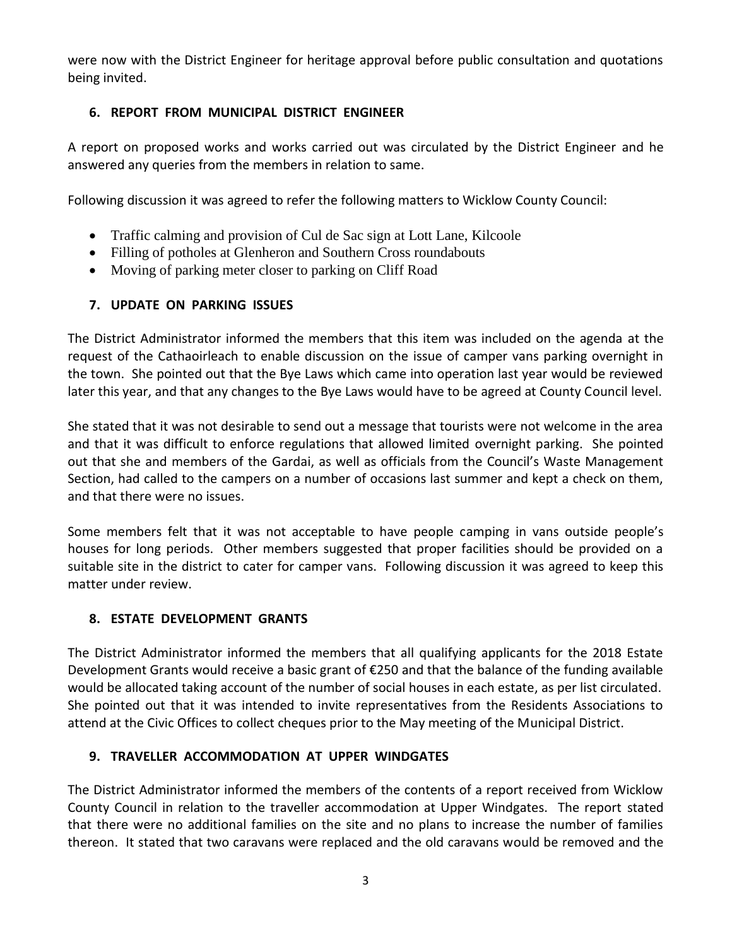were now with the District Engineer for heritage approval before public consultation and quotations being invited.

## **6. REPORT FROM MUNICIPAL DISTRICT ENGINEER**

A report on proposed works and works carried out was circulated by the District Engineer and he answered any queries from the members in relation to same.

Following discussion it was agreed to refer the following matters to Wicklow County Council:

- Traffic calming and provision of Cul de Sac sign at Lott Lane, Kilcoole
- Filling of potholes at Glenheron and Southern Cross roundabouts
- Moving of parking meter closer to parking on Cliff Road

# **7. UPDATE ON PARKING ISSUES**

The District Administrator informed the members that this item was included on the agenda at the request of the Cathaoirleach to enable discussion on the issue of camper vans parking overnight in the town. She pointed out that the Bye Laws which came into operation last year would be reviewed later this year, and that any changes to the Bye Laws would have to be agreed at County Council level.

She stated that it was not desirable to send out a message that tourists were not welcome in the area and that it was difficult to enforce regulations that allowed limited overnight parking. She pointed out that she and members of the Gardai, as well as officials from the Council's Waste Management Section, had called to the campers on a number of occasions last summer and kept a check on them, and that there were no issues.

Some members felt that it was not acceptable to have people camping in vans outside people's houses for long periods. Other members suggested that proper facilities should be provided on a suitable site in the district to cater for camper vans. Following discussion it was agreed to keep this matter under review.

# **8. ESTATE DEVELOPMENT GRANTS**

The District Administrator informed the members that all qualifying applicants for the 2018 Estate Development Grants would receive a basic grant of €250 and that the balance of the funding available would be allocated taking account of the number of social houses in each estate, as per list circulated. She pointed out that it was intended to invite representatives from the Residents Associations to attend at the Civic Offices to collect cheques prior to the May meeting of the Municipal District.

# **9. TRAVELLER ACCOMMODATION AT UPPER WINDGATES**

The District Administrator informed the members of the contents of a report received from Wicklow County Council in relation to the traveller accommodation at Upper Windgates. The report stated that there were no additional families on the site and no plans to increase the number of families thereon. It stated that two caravans were replaced and the old caravans would be removed and the